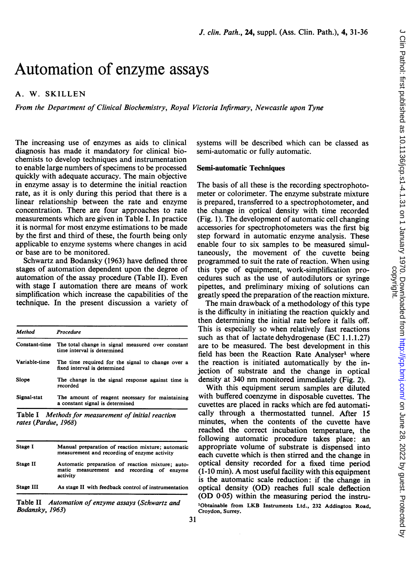# Automation of enzyme assays

## A. W. SKILLEN

From the Department of Clinical Biochemistry, Royal Victoria Infirmary, Newcastle upon Tyne

The increasing use of enzymes as aids to clinical diagnosis has made it mandatory for clinical biochemists to develop techniques and instrumentation to enable large numbers of specimens to be processed quickly with adequate accuracy. The main objective in enzyme assay is to determine the initial reaction rate, as it is only during this period that there is a linear relationship between the rate and enzyme concentration. There are four approaches to rate measurements which are given in Table I. In practice it is normal for most enzyme estimations to be made by the first and third of these, the fourth being only applicable to enzyme systems where changes in acid or base are to be monitored.

Schwartz and Bodansky (1963) have defined three stages of automation dependent upon the degree of automation of the assay procedure (Table II). Even with stage <sup>I</sup> automation there are means of work simplification which increase the capabilities of the technique. In the present discussion a variety of

| Procedure                                                                          |
|------------------------------------------------------------------------------------|
| The total change in signal measured over constant<br>time interval is determined   |
| The time required for the signal to change over a<br>fixed interval is determined  |
| The change in the signal response against time is<br>recorded                      |
| The amount of reagent necessary for maintaining<br>a constant signal is determined |
|                                                                                    |

Table <sup>I</sup> Methods for measurement of initial reaction rates (Pardue, 1968)

| Stage I   | Manual preparation of reaction mixture: automatic<br>measurement and recording of enzyme activity            |
|-----------|--------------------------------------------------------------------------------------------------------------|
| Stage II  | Automatic preparation of reaction mixture: auto-<br>measurement and recording of enzyme<br>matic<br>activity |
| Stage III | As stage II with feedback control of instrumentation                                                         |

Table II Automation of enzyme assays (Schwartz and Bodansky, 1963)

systems will be described which can be classed as semi-automatic or fully automatic.

#### Semi-automatic Techniques

The basis of all these is the recording spectrophotometer or colorimeter. The enzyme substrate mixture is prepared, transferred to a spectrophotometer, and the change in optical density with time recorded (Fig. 1). The development of automatic cell changing accessories for spectrophotometers was the first big step forward in automatic enzyme analysis. These enable four to six samples to be measured simultaneously, the movement of the cuvette being programmed to suit the rate of reaction. When using this type of equipment, work-simplification procedures such as the use of autodilutors or syringe pipettes, and preliminary mixing of solutions can greatly speed the preparation of the reaction mixture.

The main drawback of a methodology of this type is the difficulty in initiating the reaction quickly and then determining the initial rate before it falls off. This is especially so when relatively fast reactions such as that of lactate dehydrogenase (EC 1.1.1.27) are to be measured. The best development in this field has been the Reaction Rate Analyser<sup>1</sup> where the reaction is initiated automatically by the injection of substrate and the change in optical density at <sup>340</sup> nm monitored immediately (Fig. 2).

With this equipment serum samples are diluted with buffered coenzyme in disposable cuvettes. The cuvettes are placed in racks which are fed automatically through a thermostatted tunnel. After 15 minutes, when the contents of the cuvette have reached the correct incubation temperature, the following automatic procedure takes place: an appropriate volume of substrate is dispensed into each cuvette which is then stirred and the change in optical density recorded for a fixed time period (1-10 min). A most useful facility with this equipment is the automatic scale reduction: if the change in optical density (OD) reaches full scale deflection (OD 0-05) within the measuring period the instru- 'Obtainable from LKB Instruments Ltd., <sup>232</sup> Addington Road, Croydon, Surrey.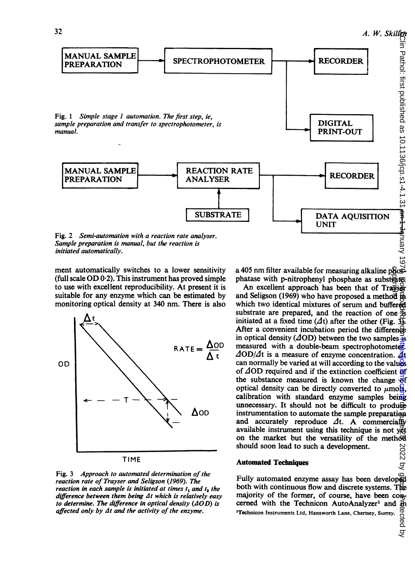

Sample preparation is manual, but the reaction is initiated automatically.

ment automatically switches to a lower sensitivity (full scale OD 0-2). This instrument has proved simple to use with excellent reproducibility. At present it is suitable for any enzyme which can be estimated by monitoring optical density at 340 nm. There is also



Fig. 3 Approach to automated determination of the reaction rate of Trayser and Seligson (1969). The reaction in each sample is initiated at times  $t_1$  and  $t_2$  the difference between them being  $\Delta t$  which is relatively easy to determine. The difference in optical density  $(4OD)$  is affected only by  $\Delta t$  and the activity of the enzyme.

a 405 nm filter available for measuring alkaline phose phatase with p-nitrophenyl phosphate as substrate. copyright.<br>References

An excellent approach has been that of Trayser and Seligson (1969) who have proposed a method  $\overrightarrow{p}$ which two identical mixtures of serum and buffered substrate are prepared, and the reaction of one  $\ddot{\Phi}$ initiated at a fixed time ( $\Delta t$ ) after the other (Fig.  $\frac{d\mathbf{x}}{dt}$ ). After a convenient incubation period the difference in optical density ( $\Delta$ OD) between the two samples is measured with a double-beam spectrophotometer.  $\Delta$ OD/ $\Delta$ t is a measure of enzyme concentration.  $\Delta t$ can normally be varied at will according to the values of  $\Delta$ OD required and if the extinction coefficient of the substance measured is known the change  $\overrightarrow{ef}$ optical density can be directly converted to  $\mu$ mols, calibration with standard enzyme samples being unnecessary. It should not be difficult to produce instrumentation to automate the sample preparation and accurately reproduce  $\Delta t$ . A commercially available instrument using this technique is not yet on the market but the versatility of the method should soon lead to such a development.

#### Automated Techniques

Fully automated enzyme assay has been developed both with continuous flow and discrete systems. The majority of the former, of course, have been  $\text{con}_{1}$ cerned with the Technicon AutoAnalyzer<sup>1</sup> and  $\overline{\text{th}}$ <br><sup>1</sup>Technicon Instruments Ltd, Hansworth Lane, Chertsey, Surrey.  $\begin{array}{c}\n\overline{\text{ob}} \\
\overline{\text{ob}} \\
\overline{\text{ob}} \\
\overline{\text{ob}} \\
\end{array}$ 'Tochnicon Instruments Ltd, Hansworth Lane, Chertsey, Surrey.

on June 2022 by guest. Protect as 10.1136/jcp.81.4.1.31 <del>en 1 January 1</del>970. **By guest. Published as 1970. Downloaded from the changed from the changed from the changed from the changed from the changed from the changed f** 2022 by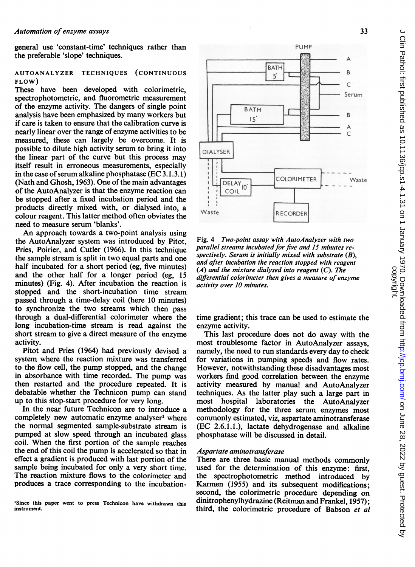general use 'constant-time' techniques rather than the preferable 'slope' techniques.

### AUTOANALYZER TECHNIQUES (CONTINUOUS FLOW)

These have been developed with colorimetric, spectrophotometric, and fluorometric measurement of the enzyme activity. The dangers of single point analysis have been emphasized by many workers but if care is taken to ensure that the calibration curve is nearly linear over the range of enzyme activities to be measured, these can largely be overcome. It is possible to dilute high activity serum to bring it into the linear part of the curve but this process may itself result in erroneous measurements, especially in the case of serum alkaline phosphatase (EC 3.1.3.1) (Nath and Ghosh, 1963). One of the main advantages of the AutoAnalyzer is that the enzyme reaction can be stopped after a fixed incubation period and the products directly mixed with, or dialysed into, a colour reagent. This latter method often obviates the need to measure serum 'blanks'.

An approach towards a two-point analysis using the AutoAnalyzer system was introduced by Pitot, Pries, Poirier, and Cutler (1966). In this technique the sample stream is split in two equal parts and one half incubated for a short period (eg, five minutes) and the other half for a longer period (eg, 15 minutes) (Fig. 4). After incubation the reaction is stopped and the short-incubation time stream passed through a time-delay coil (here 10 minutes) to synchronize the two streams which then pass through a dual-differential colorimeter where the long incubation-time stream is read against the short stream to give a direct measure of the enzyme activity.

Pitot and Pries (1964) had previously devised a system where the reaction mixture was transferred to the flow cell, the pump stopped, and the change in absorbance with time recorded. The pump was then restarted and the procedure repeated. It is debatable whether the Technicon pump can stand up to this stop-start procedure for very long.

In the near future Technicon are to introduce a completely new automatic enzyme analyser' where the normal segmented sample-substrate stream is pumped at slow speed through an incubated glass coil. When the first portion of the sample reaches the end of this coil the pump is accelerated so that in effect a gradient is produced with last portion of the sample being incubated for only a very short time. The reaction mixture flows to the colorimeter and produces a trace corresponding to the incubation-

<sup>1</sup>Since this paper went to press Technicon have withdrawn this instrument.



Fig. 4 Two-point assay with AutoAnalyzer with two parallel streams incubated for five and 15 minutes respectively. Serum is initially mixed with substrate (B), and after incubation the reaction stopped with reagent  $(A)$  and the mixture dialysed into reagent  $(C)$ . The differential colorimeter then gives a measure of enzyme activity over 10 minutes.

time gradient; this trace can be used to estimate the enzyme activity.

This last procedure does not do away with the most troublesome factor in AutoAnalyzer assays, namely, the need to run standards every day to check for variations in pumping speeds and flow rates. However, notwithstanding these disadvantages most workers find good correlation between the enzyme activity measured by manual and AutoAnalyzer techniques. As the latter play such a large part in most hospital laboratories the AutoAnalyzer methodology for the three serum enzymes most commonly estimated, viz, aspartate aminotransferase (EC 2.6.1.1.), lactate dehydrogenase and alkaline phosphatase will be discussed in detail.

#### Aspartate aminotransferase

There are three basic manual methods commonly used for the determination of this enzyme: first, the spectrophotometric method introduced by Karmen (1955) and its subsequent modifications; second, the colorimetric procedure depending on dinitrophenylhydrazine (Reitman and Frankel, 1957); third, the colorimetric procedure of Babson et al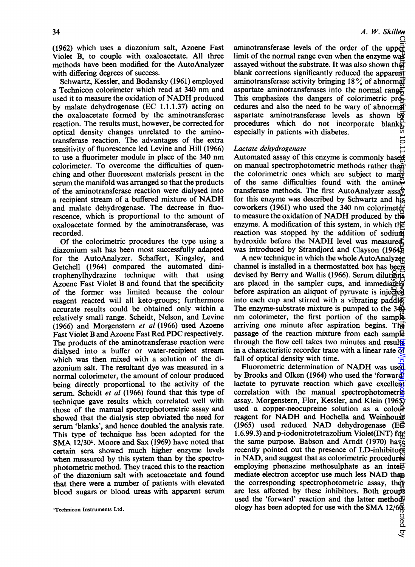(1962) which uses a diazonium salt, Azoene Fast Violet B, to couple with oxaloacetate. All three methods have been modified for the AutoAnalyzer with differing degrees of success.

Schwartz, Kessler, and Bodansky (1961) employed <sup>a</sup> Technicon colorimeter which read at <sup>340</sup> nm and used it to measure the oxidation of NADH produced by malate dehydrogenase (EC 1.1.1.37) acting on the oxaloacetate formed by the aminotransferase reaction. The results must, however, be corrected for optical density changes unrelated to the aminotransferase reaction. The advantages of the extra sensitivity of fluorescence led Levine and Hill (1966) to use a fluorimeter module in place of the <sup>340</sup> nm colorimeter. To overcome the difficulties of quenching and other fluorescent materials present in the serum the manifold was arranged so that the products of the aminotransferase reaction were dialysed into <sup>a</sup> recipient stream of <sup>a</sup> buffered mixture of NADH and malate dehydrogenase. The decrease in fluorescence, which is proportional to the amount of oxaloacetate formed by the aminotransferase, was recorded.

Of the colorimetric procedures the type using a diazonium salt has been most successfully adapted for the AutoAnalyzer. Schaffert, Kingsley, and Getchell (1964) compared the automated dinitrophenylhydrazine technique with that using Azoene Fast Violet B and found that the specificity of the former was limited because the colour reagent reacted will all keto-groups; furthermore accurate results could be obtained only within a relatively small range. Scheidt, Nelson, and Levine (1966) and Morgenstern et al (1966) used Azoene Fast Violet B and Azoene Fast Red PDC respectively. The products of the aminotransferase reaction were dialysed into a buffer or water-recipient stream which was then mixed with a solution of the diazonium salt. The resultant dye was measured in a normal colorimeter, the amount of colour produced being directly proportional to the activity of the serum. Scheidt et al (1966) found that this type of technique gave results which correlated well with those of the manual spectrophotometric assay and showed that the dialysis step obviated the need for serum 'blanks', and hence doubled the analysis rate. This type of technique has been adopted for the SMA 12/30<sup>1</sup>. Moore and Sax (1969) have noted that certain sera showed much higher enzyme levels when measured by this system than by the spectrophotometric method. They traced this to the reaction of the diazonium salt with acetoacetate and found that there were a number of patients with elevated blood sugars or blood ureas with apparent serum

aminotransferase levels of the order of the upper limit of the normal range even when the enzyme was assayed without the substrate. It was also shown that blank corrections significantly reduced the apparent aminotransferase activity bringing 18 $\%$  of abnormal aspartate aminotransferases into the normal range; This emphasizes the dangers of colorimetric procedures and also the need to be wary of abnormal aspartate aminotransferase levels as shown by procedures which do not incorporate blanks, especially in patients with diabetes.  $10.1$ 

#### Lactate dehydrogenase

Automated assay of this enzyme is commonly base on manual spectrophotometric methods rather than the colorimetric ones which are subject to many of the same difficulties found with the aminotransferase methods. The first AutoAnalyzer assa $\hat{v}$ for this enzyme was described by Schwartz and his coworkers (1961) who used the <sup>340</sup> nm colorimeter to measure the oxidation of NADH produced by the enzyme. A modification of this system, in which the reaction was stopped by the addition of sodium hvdroxide before the NADH level was measured was introduced by Strandjord and Clayson (1964).

A new technique in which the whole AutoAnalyzer channel is installed in a thermostatted box has been devised by Berry and Wallis (1966). Serum dilutions are placed in the sampler cups, and immediately before aspiration an aliquot of pyruvate is injected<br>before aspiration an aliquot of pyruvate is injected<br>before aspiration an aliquot of pyruvate is injected into each cup and stirred with a vibrating paddle. The enzyme-substrate mixture is pumped to the 340 nm colorimeter, the first portion of the sample arriving one minute after aspiration begins. The passage of the reaction mixture from each sample through the flow cell takes two minutes and results in a characteristic recorder trace with a linear rate  $\overline{d}$ fall of optical density with time.

Fluorometric determination of NADH was used by Brooks and Olken (1964) who used the 'forward' lactate to pyruvate reaction which gave excellent correlation with the manual spectrophotometric assay. Morgenstern, Flor, Kessler, and Klein (196 $\frac{5}{24}$ ) used a copper-neocupreine solution as a colour reagent for NADH and Hochella and Weinhouse (1965) used reduced NAD dehydrogenase ( $E\vec{E}$ ) 1.6.99.3) and p-iodonitrotetrazolium Violet(INT) for the same purpose. Babson and Arndt (1970) have recently pointed out the presence of LD-inhibitors in NAD, and suggest that as colorimetric procedures employing phenazine methosulphate as an inte $\mathcal{F}$ mediate electron acceptor use much less NAD than the corresponding spectrophotometric assay, they are less affected by these inhibitors. Both groups used the 'forward' reaction and the latter method<sup>p</sup> ology has been adopted for use with the SMA 12/6%  $\alpha$ on Dance as 1989. A 2022 by the 2022 by the public public public public public public public public public public public public public public public public public public public public public public public public publi

cted by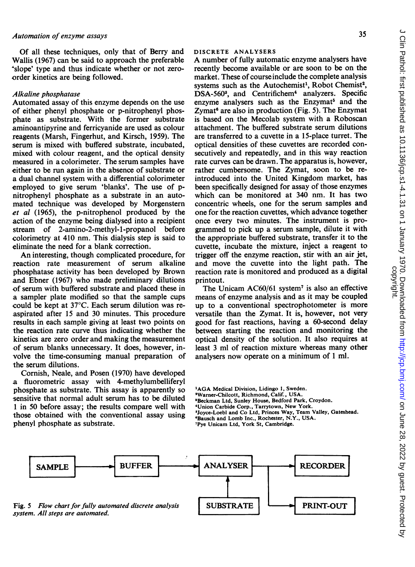Of all these techniques, only that of Berry and Wallis (1967) can be said to approach the preferable 'slope' type and thus indicate whether or not zeroorder kinetics are being followed.

### Alkaline phosphatase

Automated assay of this enzyme depends on the use of either phenyl phosphate or p-nitrophenyl phosphate as substrate. With the former substrate aminoantipyrine and ferricyanide are used as colour reagents (Marsh, Fingerhut, and Kirsch, 1959). The serum is mixed with buffered substrate, incubated, mixed with colour reagent, and the optical density measured in a colorimeter. The serum samples have either to be run again in the absence of substrate or a dual channel system with a differential colorimeter employed to give serum 'blanks'. The use of pnitrophenyl phosphate as a substrate in an automated technique was developed by Morgenstern et al (1965), the p-nitrophenol produced by the action of the enzyme being dialysed into a recipient stream of 2-amino-2-methyl-1-propanol before colorimetry at 410 nm. This dialysis step is said to eliminate the need for a blank correction.

An interesting, though complicated procedure, for reaction rate measurement of serum alkaline phosphatase activity has been developed by Brown and Ebner (1967) who made preliminary dilutions of serum with buffered substrate and placed these in a sampler plate modified so that the sample cups could be kept at  $37^{\circ}$ C. Each serum dilution was reaspirated after 15 and 30 minutes. This procedure results in each sample giving at least two points on the reaction rate curve thus indicating whether the kinetics are zero order and making the measurement of serum blanks unnecessary. It does, however, involve the time-consuming manual preparation of the serum dilutions.

Cornish, Neale, and Posen (1970) have developed a fluorometric assay with 4-methylumbelliferyl phosphate as substrate. This assay is apparently so sensitive that normal adult serum has to be diluted <sup>1</sup> in 50 before assay; the results compare well with those obtained with the conventional assay using phenyl phosphate as substrate.

#### DISCRETE ANALYSERS

A number of fully automatic enzyme analysers have recently become available or are soon to be on the market. These of course include the complete analysis systems such as the Autochemist<sup>1</sup>, Robot Chemist<sup>2</sup>, DSA-560<sup>3</sup>, and Centrifichem<sup>4</sup> analyzers. Specific enzyme analysers such as the Enzymat<sup>5</sup> and the Zymat $\alpha$  are also in production (Fig. 5). The Enzymat is based on the Mecolab system with a Roboscan attachment. The buffered substrate serum dilutions are transferred to a cuvette in a 15-place turret. The optical densities of these cuvettes are recorded consecutively and repeatedly, and in this way reaction rate curves can be drawn. The apparatus is, however, rather cumbersome. The Zymat, soon to be reintroduced into the United Kingdom market, has been specifically designed for assay of those enzymes which can be monitored at 340 nm. It has two concentric wheels, one for the serum samples and one for the reaction cuvettes, which advance together once every two minutes. The instrument is programmed to pick up a serum sample, dilute it with the appropriate buffered substrate, transfer it to the cuvette, incubate the mixture, inject a reagent to trigger off the enzyme reaction, stir with an air jet, and move the cuvette into the light path. The reaction rate is monitored and produced as a digital printout.

The Unicam AC60/61 system<sup>7</sup> is also an effective means of enzyme analysis and as it may be coupled up to a conventional spectrophotometer is more versatile than the Zymat. It is, however, not very good for fast reactions, having a 60-second delay between starting the reaction and monitoring the optical density of the solution. It also requires at least <sup>3</sup> ml of reaction mixture whereas many other analysers now operate on a minimum of <sup>1</sup> ml.

- 'AGA Medical Division, Lidingo 1, Sweden.
- 2Wamer-Chilcott, Richmond, Calif., USA.
- 'Beckman Ltd, Sunley House, Bedford Park, Croydon.
- 
- "Union Carbide Corp., Tarrytown, New York. 'Joyce-Loebl and Co Ltd, Princes Way, Team Valley, Gateshead.
- 'Bausch and Lomb Inc., Rochester, N.Y., USA.
- 'Pye Unicam Ltd, York St, Cambridge.



 $\subset$